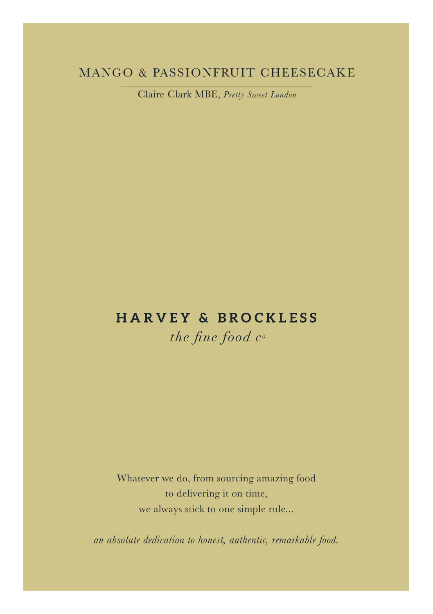# MANGO & PASSIONFRUIT CHEESECAKE

Claire Clark MBE, *Pretty Sweet London*

# **HARVEY & BROCKLESS**

the fine food  $c<sup>o</sup>$ 

Whatever we do, from sourcing amazing food to delivering it on time, we always stick to one simple rule...

*an absolute dedication to honest, authentic, remarkable food.*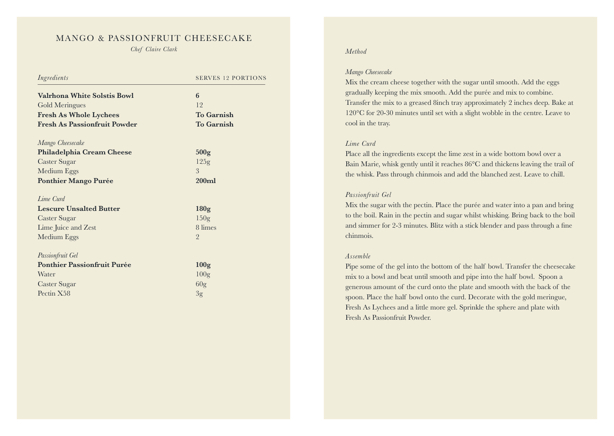## MANGO & PASSIONFRUIT CHEESECAKE

*Chef Claire Clark Method*

| Ingredients                         | <b>SERVES 12 PORTIONS</b> |
|-------------------------------------|---------------------------|
| <b>Valrhona White Solstis Bowl</b>  | 6                         |
| Gold Meringues                      | 12                        |
| <b>Fresh As Whole Lychees</b>       | <b>To Garnish</b>         |
| <b>Fresh As Passionfruit Powder</b> | <b>To Garnish</b>         |
| Mango Cheesecake                    |                           |
| Philadelphia Cream Cheese           | 500 <sub>g</sub>          |
| <b>Caster Sugar</b>                 | 125g                      |
| Medium Eggs                         | 3                         |
| <b>Ponthier Mango Purée</b>         | 200m1                     |
| Lime Curd                           |                           |
| <b>Lescure Unsalted Butter</b>      | 180 <sub>g</sub>          |
| <b>Caster Sugar</b>                 | 150 <sub>g</sub>          |
| Lime Juice and Zest                 | 8 limes                   |
| Medium Eggs                         | $\overline{2}$            |
| Passionfruit Gel                    |                           |
| <b>Ponthier Passionfruit Purée</b>  | 100 <sub>g</sub>          |
| Water                               | 100 <sub>g</sub>          |
| Caster Sugar                        | 60 <sub>g</sub>           |
| Pectin X58                          | 3g                        |

#### *Mango Cheesecake*

Mix the cream cheese together with the sugar until smooth. Add the eggs gradually keeping the mix smooth. Add the purée and mix to combine. Transfer the mix to a greased 8inch tray approximately 2 inches deep. Bake at 120°C for 20-30 minutes until set with a slight wobble in the centre. Leave to cool in the tray.

#### *Lime Curd*

Place all the ingredients except the lime zest in a wide bottom bowl over a Bain Marie, whisk gently until it reaches 86°C and thickens leaving the trail of the whisk. Pass through chinmois and add the blanched zest. Leave to chill.

### *Passionfruit Gel*

Mix the sugar with the pectin. Place the purée and water into a pan and bring to the boil. Rain in the pectin and sugar whilst whisking. Bring back to the boil and simmer for 2-3 minutes. Blitz with a stick blender and pass through a fine chinmois.

#### *Assemble*

Pipe some of the gel into the bottom of the half bowl. Transfer the cheesecake mix to a bowl and beat until smooth and pipe into the half bowl. Spoon a generous amount of the curd onto the plate and smooth with the back of the spoon. Place the half bowl onto the curd. Decorate with the gold meringue, Fresh As Lychees and a little more gel. Sprinkle the sphere and plate with Fresh As Passionfruit Powder.